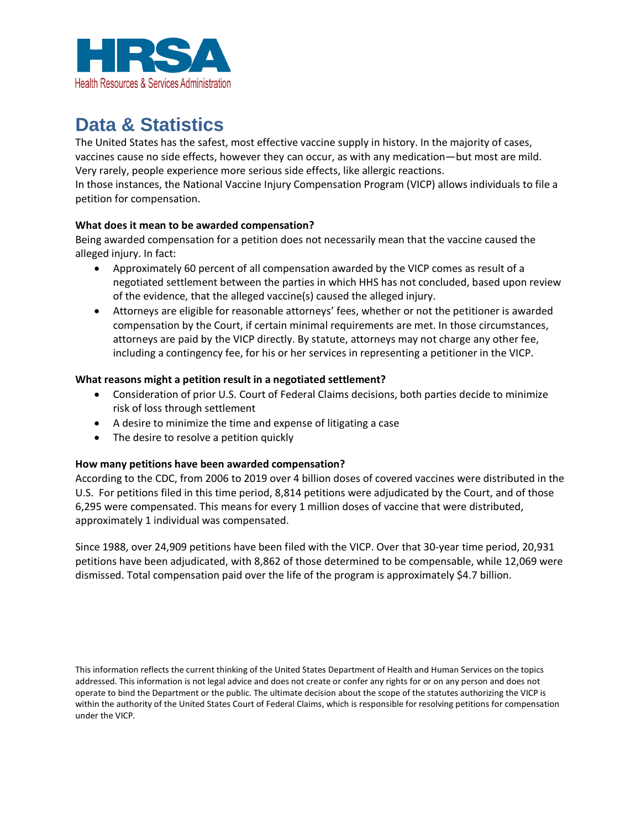

# **Data & Statistics**

The United States has the safest, most effective vaccine supply in history. In the majority of cases, vaccines cause no side effects, however they can occur, as with any medication—but most are mild. Very rarely, people experience more serious side effects, like allergic reactions. In those instances, the National Vaccine Injury Compensation Program (VICP) allows individuals to file a petition for compensation.

### **What does it mean to be awarded compensation?**

Being awarded compensation for a petition does not necessarily mean that the vaccine caused the alleged injury. In fact:

- Approximately 60 percent of all compensation awarded by the VICP comes as result of a negotiated settlement between the parties in which HHS has not concluded, based upon review of the evidence, that the alleged vaccine(s) caused the alleged injury.
- Attorneys are eligible for reasonable attorneys' fees, whether or not the petitioner is awarded compensation by the Court, if certain minimal requirements are met. In those circumstances, attorneys are paid by the VICP directly. By statute, attorneys may not charge any other fee, including a contingency fee, for his or her services in representing a petitioner in the VICP.

### **What reasons might a petition result in a negotiated settlement?**

- Consideration of prior U.S. Court of Federal Claims decisions, both parties decide to minimize risk of loss through settlement
- A desire to minimize the time and expense of litigating a case
- The desire to resolve a petition quickly

### **How many petitions have been awarded compensation?**

According to the CDC, from 2006 to 2019 over 4 billion doses of covered vaccines were distributed in the U.S. For petitions filed in this time period, 8,814 petitions were adjudicated by the Court, and of those 6,295 were compensated. This means for every 1 million doses of vaccine that were distributed, approximately 1 individual was compensated.

Since 1988, over 24,909 petitions have been filed with the VICP. Over that 30-year time period, 20,931 petitions have been adjudicated, with 8,862 of those determined to be compensable, while 12,069 were dismissed. Total compensation paid over the life of the program is approximately \$4.7 billion.

This information reflects the current thinking of the United States Department of Health and Human Services on the topics addressed. This information is not legal advice and does not create or confer any rights for or on any person and does not operate to bind the Department or the public. The ultimate decision about the scope of the statutes authorizing the VICP is within the authority of the United States Court of Federal Claims, which is responsible for resolving petitions for compensation under the VICP.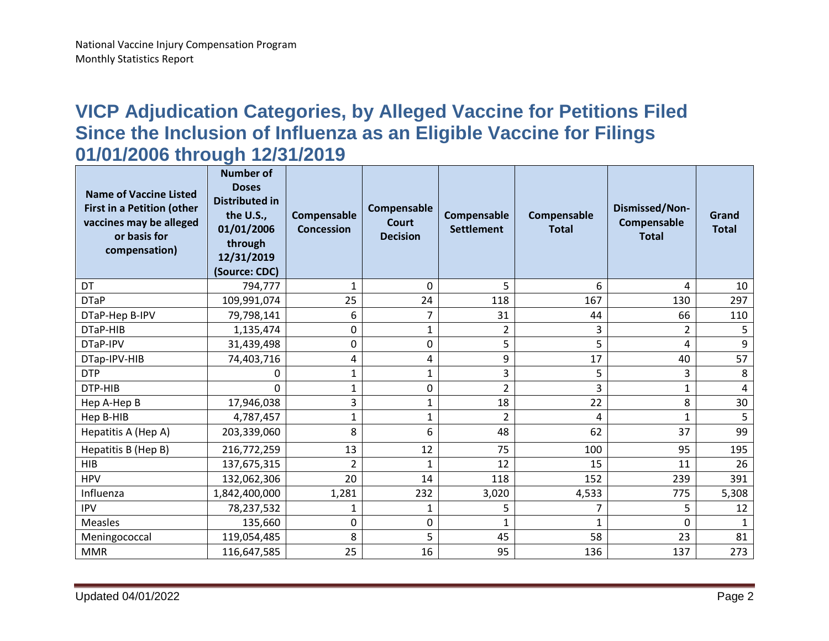## **VICP Adjudication Categories, by Alleged Vaccine for Petitions Filed Since the Inclusion of Influenza as an Eligible Vaccine for Filings 01/01/2006 through 12/31/2019**

| <b>Name of Vaccine Listed</b><br><b>First in a Petition (other</b><br>vaccines may be alleged<br>or basis for<br>compensation) | <b>Number of</b><br><b>Doses</b><br><b>Distributed in</b><br>the U.S.,<br>01/01/2006<br>through<br>12/31/2019<br>(Source: CDC) | Compensable<br><b>Concession</b> | Compensable<br><b>Court</b><br><b>Decision</b> | Compensable<br><b>Settlement</b> | Compensable<br><b>Total</b> | <b>Dismissed/Non-</b><br>Compensable<br><b>Total</b> | Grand<br><b>Total</b> |
|--------------------------------------------------------------------------------------------------------------------------------|--------------------------------------------------------------------------------------------------------------------------------|----------------------------------|------------------------------------------------|----------------------------------|-----------------------------|------------------------------------------------------|-----------------------|
| DT                                                                                                                             | 794,777                                                                                                                        | $\mathbf{1}$                     | 0                                              | 5                                | 6                           | 4                                                    | 10                    |
| <b>DTaP</b>                                                                                                                    | 109,991,074                                                                                                                    | 25                               | 24                                             | 118                              | 167                         | 130                                                  | 297                   |
| DTaP-Hep B-IPV                                                                                                                 | 79,798,141                                                                                                                     | 6                                | 7                                              | 31                               | 44                          | 66                                                   | 110                   |
| DTaP-HIB                                                                                                                       | 1,135,474                                                                                                                      | 0                                | $\mathbf{1}$                                   | $\overline{2}$                   | 3                           | 2                                                    | 5                     |
| DTaP-IPV                                                                                                                       | 31,439,498                                                                                                                     | 0                                | 0                                              | 5                                | 5                           | 4                                                    | 9                     |
| DTap-IPV-HIB                                                                                                                   | 74,403,716                                                                                                                     | 4                                | 4                                              | 9                                | 17                          | 40                                                   | 57                    |
| <b>DTP</b>                                                                                                                     | 0                                                                                                                              | $\mathbf{1}$                     | $\mathbf{1}$                                   | 3                                | 5                           | 3                                                    | 8                     |
| DTP-HIB                                                                                                                        | 0                                                                                                                              | $\mathbf{1}$                     | 0                                              | $\overline{2}$                   | 3                           | 1                                                    | 4                     |
| Hep A-Hep B                                                                                                                    | 17,946,038                                                                                                                     | 3                                | $\mathbf 1$                                    | 18                               | 22                          | 8                                                    | 30                    |
| Hep B-HIB                                                                                                                      | 4,787,457                                                                                                                      | $\mathbf{1}$                     | $\mathbf{1}$                                   | $\overline{2}$                   | 4                           | $\mathbf{1}$                                         | 5                     |
| Hepatitis A (Hep A)                                                                                                            | 203,339,060                                                                                                                    | 8                                | 6                                              | 48                               | 62                          | 37                                                   | 99                    |
| Hepatitis B (Hep B)                                                                                                            | 216,772,259                                                                                                                    | 13                               | 12                                             | 75                               | 100                         | 95                                                   | 195                   |
| <b>HIB</b>                                                                                                                     | 137,675,315                                                                                                                    | $\overline{2}$                   | $\mathbf{1}$                                   | 12                               | 15                          | 11                                                   | 26                    |
| <b>HPV</b>                                                                                                                     | 132,062,306                                                                                                                    | 20                               | 14                                             | 118                              | 152                         | 239                                                  | 391                   |
| Influenza                                                                                                                      | 1,842,400,000                                                                                                                  | 1,281                            | 232                                            | 3,020                            | 4,533                       | 775                                                  | 5,308                 |
| <b>IPV</b>                                                                                                                     | 78,237,532                                                                                                                     | 1                                | 1                                              | 5                                |                             | 5                                                    | 12                    |
| <b>Measles</b>                                                                                                                 | 135,660                                                                                                                        | 0                                | 0                                              | $\mathbf{1}$                     | $\mathbf{1}$                | 0                                                    | $\mathbf{1}$          |
| Meningococcal                                                                                                                  | 119,054,485                                                                                                                    | 8                                | 5                                              | 45                               | 58                          | 23                                                   | 81                    |
| <b>MMR</b>                                                                                                                     | 116,647,585                                                                                                                    | 25                               | 16                                             | 95                               | 136                         | 137                                                  | 273                   |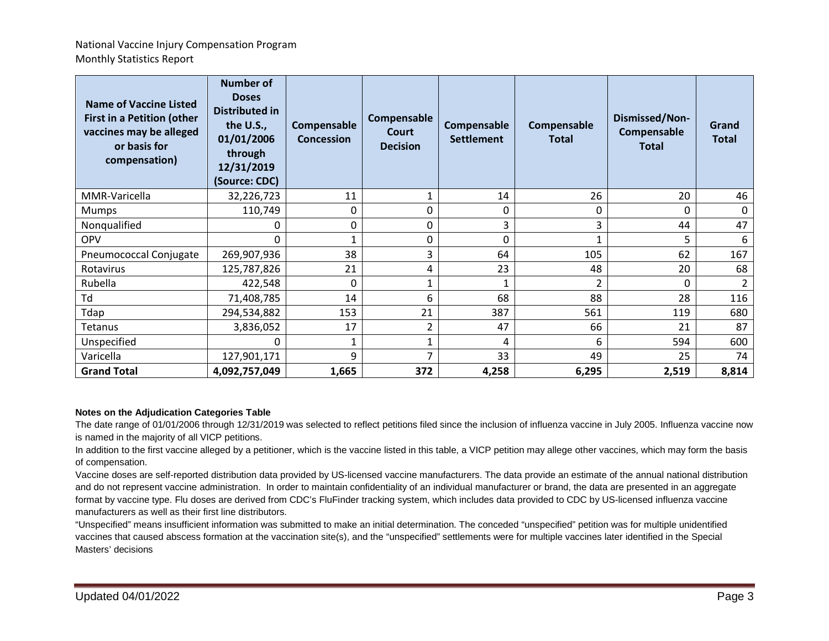| <b>Name of Vaccine Listed</b><br><b>First in a Petition (other</b><br>vaccines may be alleged<br>or basis for<br>compensation) | <b>Number of</b><br><b>Doses</b><br>Distributed in<br>the U.S.,<br>01/01/2006<br>through<br>12/31/2019<br>(Source: CDC) | Compensable<br><b>Concession</b> | Compensable<br>Court<br><b>Decision</b> | Compensable<br><b>Settlement</b> | Compensable<br><b>Total</b> | Dismissed/Non-<br>Compensable<br><b>Total</b> | Grand<br><b>Total</b> |
|--------------------------------------------------------------------------------------------------------------------------------|-------------------------------------------------------------------------------------------------------------------------|----------------------------------|-----------------------------------------|----------------------------------|-----------------------------|-----------------------------------------------|-----------------------|
| MMR-Varicella                                                                                                                  | 32,226,723                                                                                                              | 11                               |                                         | 14                               | 26                          | 20                                            | 46                    |
| <b>Mumps</b>                                                                                                                   | 110,749                                                                                                                 | 0                                | 0                                       | 0                                | 0                           | 0                                             | 0                     |
| Nonqualified                                                                                                                   | 0                                                                                                                       | 0                                | 0                                       | 3                                | 3                           | 44                                            | 47                    |
| <b>OPV</b>                                                                                                                     | 0                                                                                                                       | 1                                | 0                                       | 0                                | 1                           | 5                                             | 6                     |
| Pneumococcal Conjugate                                                                                                         | 269,907,936                                                                                                             | 38                               | 3                                       | 64                               | 105                         | 62                                            | 167                   |
| Rotavirus                                                                                                                      | 125,787,826                                                                                                             | 21                               | 4                                       | 23                               | 48                          | 20                                            | 68                    |
| Rubella                                                                                                                        | 422,548                                                                                                                 | 0                                |                                         |                                  | 2                           | 0                                             | 2                     |
| Td                                                                                                                             | 71,408,785                                                                                                              | 14                               | 6                                       | 68                               | 88                          | 28                                            | 116                   |
| Tdap                                                                                                                           | 294,534,882                                                                                                             | 153                              | 21                                      | 387                              | 561                         | 119                                           | 680                   |
| <b>Tetanus</b>                                                                                                                 | 3,836,052                                                                                                               | 17                               | $\overline{2}$                          | 47                               | 66                          | 21                                            | 87                    |
| Unspecified                                                                                                                    | 0                                                                                                                       | 1                                |                                         | 4                                | 6                           | 594                                           | 600                   |
| Varicella                                                                                                                      | 127,901,171                                                                                                             | 9                                |                                         | 33                               | 49                          | 25                                            | 74                    |
| <b>Grand Total</b>                                                                                                             | 4,092,757,049                                                                                                           | 1,665                            | 372                                     | 4,258                            | 6,295                       | 2,519                                         | 8,814                 |

#### **Notes on the Adjudication Categories Table**

The date range of 01/01/2006 through 12/31/2019 was selected to reflect petitions filed since the inclusion of influenza vaccine in July 2005. Influenza vaccine now is named in the majority of all VICP petitions.

In addition to the first vaccine alleged by a petitioner, which is the vaccine listed in this table, a VICP petition may allege other vaccines, which may form the basis of compensation.

Vaccine doses are self-reported distribution data provided by US-licensed vaccine manufacturers. The data provide an estimate of the annual national distribution and do not represent vaccine administration. In order to maintain confidentiality of an individual manufacturer or brand, the data are presented in an aggregate format by vaccine type. Flu doses are derived from CDC's FluFinder tracking system, which includes data provided to CDC by US-licensed influenza vaccine manufacturers as well as their first line distributors.

"Unspecified" means insufficient information was submitted to make an initial determination. The conceded "unspecified" petition was for multiple unidentified vaccines that caused abscess formation at the vaccination site(s), and the "unspecified" settlements were for multiple vaccines later identified in the Special Masters' decisions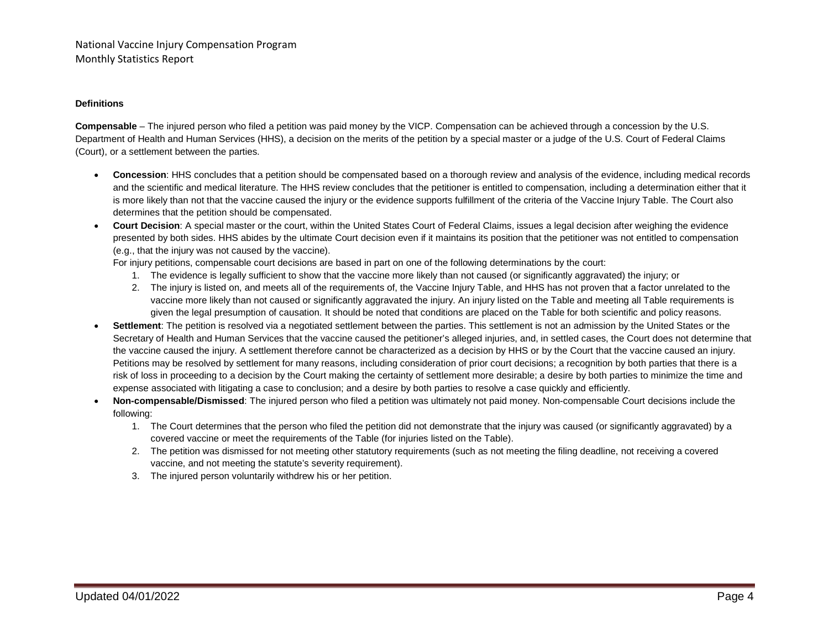#### **Definitions**

**Compensable** – The injured person who filed a petition was paid money by the VICP. Compensation can be achieved through a concession by the U.S. Department of Health and Human Services (HHS), a decision on the merits of the petition by a special master or a judge of the U.S. Court of Federal Claims (Court), or a settlement between the parties.

- **Concession**: HHS concludes that a petition should be compensated based on a thorough review and analysis of the evidence, including medical records and the scientific and medical literature. The HHS review concludes that the petitioner is entitled to compensation, including a determination either that it is more likely than not that the vaccine caused the injury or the evidence supports fulfillment of the criteria of the Vaccine Injury Table. The Court also determines that the petition should be compensated.
- **Court Decision**: A special master or the court, within the United States Court of Federal Claims, issues a legal decision after weighing the evidence presented by both sides. HHS abides by the ultimate Court decision even if it maintains its position that the petitioner was not entitled to compensation (e.g., that the injury was not caused by the vaccine).

For injury petitions, compensable court decisions are based in part on one of the following determinations by the court:

- 1. The evidence is legally sufficient to show that the vaccine more likely than not caused (or significantly aggravated) the injury; or
- 2. The injury is listed on, and meets all of the requirements of, the Vaccine Injury Table, and HHS has not proven that a factor unrelated to the vaccine more likely than not caused or significantly aggravated the injury. An injury listed on the Table and meeting all Table requirements is given the legal presumption of causation. It should be noted that conditions are placed on the Table for both scientific and policy reasons.
- **Settlement**: The petition is resolved via a negotiated settlement between the parties. This settlement is not an admission by the United States or the Secretary of Health and Human Services that the vaccine caused the petitioner's alleged injuries, and, in settled cases, the Court does not determine that the vaccine caused the injury. A settlement therefore cannot be characterized as a decision by HHS or by the Court that the vaccine caused an injury. Petitions may be resolved by settlement for many reasons, including consideration of prior court decisions; a recognition by both parties that there is a risk of loss in proceeding to a decision by the Court making the certainty of settlement more desirable; a desire by both parties to minimize the time and expense associated with litigating a case to conclusion; and a desire by both parties to resolve a case quickly and efficiently.
- **Non-compensable/Dismissed**: The injured person who filed a petition was ultimately not paid money. Non-compensable Court decisions include the following:
	- 1. The Court determines that the person who filed the petition did not demonstrate that the injury was caused (or significantly aggravated) by a covered vaccine or meet the requirements of the Table (for injuries listed on the Table).
	- 2. The petition was dismissed for not meeting other statutory requirements (such as not meeting the filing deadline, not receiving a covered vaccine, and not meeting the statute's severity requirement).
	- 3. The injured person voluntarily withdrew his or her petition.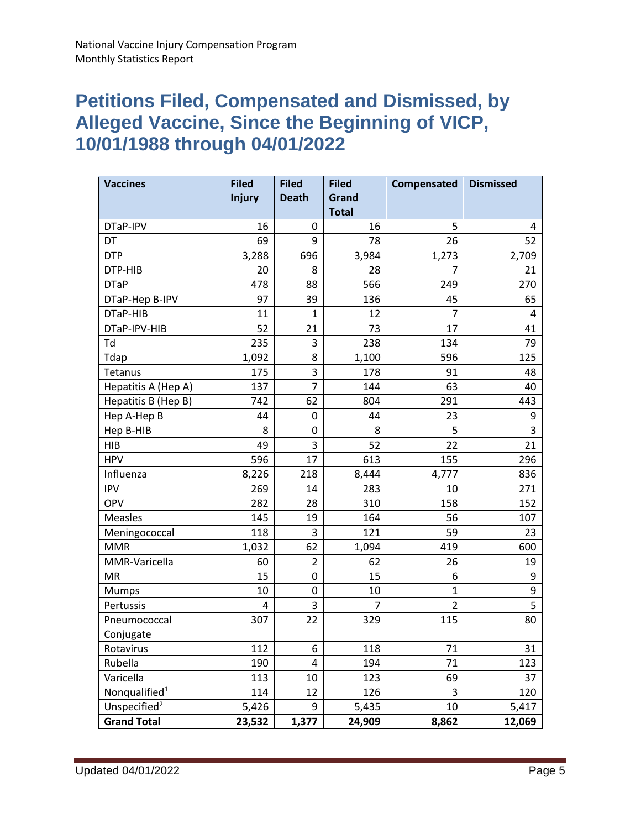## **Petitions Filed, Compensated and Dismissed, by Alleged Vaccine, Since the Beginning of VICP, 10/01/1988 through 04/01/2022**

| <b>Vaccines</b>           | <b>Filed</b>  | <b>Filed</b>   | <b>Filed</b> | Compensated  | <b>Dismissed</b> |
|---------------------------|---------------|----------------|--------------|--------------|------------------|
|                           | <b>Injury</b> | <b>Death</b>   | Grand        |              |                  |
|                           |               |                | <b>Total</b> |              |                  |
| DTaP-IPV                  | 16            | 0              | 16           | 5            | 4                |
| DT                        | 69            | 9              | 78           | 26           | 52               |
| <b>DTP</b>                | 3,288         | 696            | 3,984        | 1,273        | 2,709            |
| DTP-HIB                   | 20            | 8              | 28           | 7            | 21               |
| <b>DTaP</b>               | 478           | 88             | 566          | 249          | 270              |
| DTaP-Hep B-IPV            | 97            | 39             | 136          | 45           | 65               |
| DTaP-HIB                  | 11            | $\mathbf{1}$   | 12           | 7            | 4                |
| DTaP-IPV-HIB              | 52            | 21             | 73           | 17           | 41               |
| Td                        | 235           | 3              | 238          | 134          | 79               |
| Tdap                      | 1,092         | 8              | 1,100        | 596          | 125              |
| Tetanus                   | 175           | 3              | 178          | 91           | 48               |
| Hepatitis A (Hep A)       | 137           | $\overline{7}$ | 144          | 63           | 40               |
| Hepatitis B (Hep B)       | 742           | 62             | 804          | 291          | 443              |
| Hep A-Hep B               | 44            | 0              | 44           | 23           | 9                |
| Hep B-HIB                 | 8             | $\pmb{0}$      | 8            | 5            | 3                |
| <b>HIB</b>                | 49            | 3              | 52           | 22           | 21               |
| <b>HPV</b>                | 596           | 17             | 613          | 155          | 296              |
| Influenza                 | 8,226         | 218            | 8,444        | 4,777        | 836              |
| <b>IPV</b>                | 269           | 14             | 283          | 10           | 271              |
| OPV                       | 282           | 28             | 310          | 158          | 152              |
| <b>Measles</b>            | 145           | 19             | 164          | 56           | 107              |
| Meningococcal             | 118           | 3              | 121          | 59           | 23               |
| <b>MMR</b>                | 1,032         | 62             | 1,094        | 419          | 600              |
| MMR-Varicella             | 60            | $\overline{2}$ | 62           | 26           | 19               |
| <b>MR</b>                 | 15            | 0              | 15           | 6            | 9                |
| Mumps                     | 10            | 0              | 10           | $\mathbf{1}$ | 9                |
| Pertussis                 | 4             | 3              | 7            | 2            | 5                |
| Pneumococcal              | 307           | 22             | 329          | 115          | 80               |
| Conjugate                 |               |                |              |              |                  |
| Rotavirus                 | 112           | 6              | 118          | 71           | 31               |
| Rubella                   | 190           | 4              | 194          | 71           | 123              |
| Varicella                 | 113           | 10             | 123          | 69           | 37               |
| Nonqualified <sup>1</sup> | 114           | 12             | 126          | 3            | 120              |
| Unspecified <sup>2</sup>  | 5,426         | 9              | 5,435        | 10           | 5,417            |
| <b>Grand Total</b>        | 23,532        | 1,377          | 24,909       | 8,862        | 12,069           |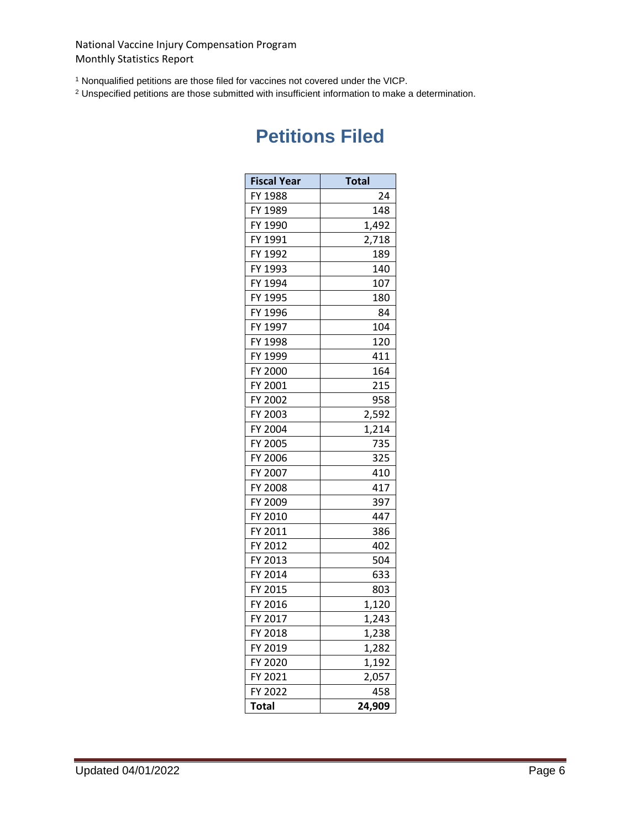<sup>1</sup> Nonqualified petitions are those filed for vaccines not covered under the VICP.

<sup>2</sup> Unspecified petitions are those submitted with insufficient information to make a determination.

| <b>Fiscal Year</b> | <b>Total</b> |
|--------------------|--------------|
| FY 1988            | 24           |
| FY 1989            | 148          |
| FY 1990            | 1,492        |
| FY 1991            | 2,718        |
| FY 1992            | 189          |
| FY 1993            | 140          |
| FY 1994            | 107          |
| FY 1995            | 180          |
| FY 1996            | 84           |
| FY 1997            | 104          |
| FY 1998            | 120          |
| FY 1999            | 411          |
| FY 2000            | 164          |
| FY 2001            | 215          |
| FY 2002            | 958          |
| FY 2003            | 2,592        |
| FY 2004            | 1,214        |
| FY 2005            | 735          |
| FY 2006            | 325          |
| FY 2007            | 410          |
| FY 2008            | 417          |
| FY 2009            | 397          |
| FY 2010            | 447          |
| FY 2011            | 386          |
| FY 2012            | 402          |
| FY 2013            | 504          |
| FY 2014            | 633          |
| FY 2015            | 803          |
| FY 2016            | 1,120        |
| FY 2017            | 1,243        |
| FY 2018            | 1,238        |
| FY 2019            | 1,282        |
| FY 2020            | 1,192        |
| FY 2021            | 2,057        |
| FY 2022            | 458          |
| <b>Total</b>       | 24,909       |

## **Petitions Filed**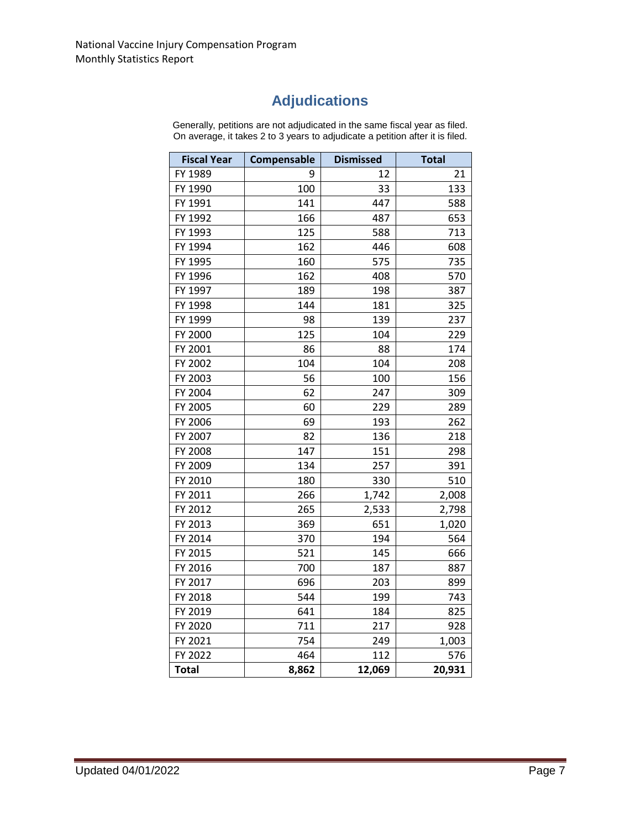## **Adjudications**

Generally, petitions are not adjudicated in the same fiscal year as filed. On average, it takes 2 to 3 years to adjudicate a petition after it is filed.

| <b>Fiscal Year</b> | Compensable | <b>Dismissed</b> | <b>Total</b> |
|--------------------|-------------|------------------|--------------|
| FY 1989            | 9           | 12               | 21           |
| FY 1990            | 100         | 33               | 133          |
| FY 1991            | 141         | 447              | 588          |
| FY 1992            | 166         | 487              | 653          |
| FY 1993            | 125         | 588              | 713          |
| FY 1994            | 162         | 446              | 608          |
| FY 1995            | 160         | 575              | 735          |
| FY 1996            | 162         | 408              | 570          |
| FY 1997            | 189         | 198              | 387          |
| FY 1998            | 144         | 181              | 325          |
| FY 1999            | 98          | 139              | 237          |
| FY 2000            | 125         | 104              | 229          |
| FY 2001            | 86          | 88               | 174          |
| FY 2002            | 104         | 104              | 208          |
| FY 2003            | 56          | 100              | 156          |
| FY 2004            | 62          | 247              | 309          |
| FY 2005            | 60          | 229              | 289          |
| FY 2006            | 69          | 193              | 262          |
| FY 2007            | 82          | 136              | 218          |
| FY 2008            | 147         | 151              | 298          |
| FY 2009            | 134         | 257              | 391          |
| FY 2010            | 180         | 330              | 510          |
| FY 2011            | 266         | 1,742            | 2,008        |
| FY 2012            | 265         | 2,533            | 2,798        |
| FY 2013            | 369         | 651              | 1,020        |
| FY 2014            | 370         | 194              | 564          |
| FY 2015            | 521         | 145              | 666          |
| FY 2016            | 700         | 187              | 887          |
| FY 2017            | 696         | 203              | 899          |
| FY 2018            | 544         | 199              | 743          |
| FY 2019            | 641         | 184              | 825          |
| FY 2020            | 711         | 217              | 928          |
| FY 2021            | 754         | 249              | 1,003        |
| FY 2022            | 464         | 112              | 576          |
| <b>Total</b>       | 8,862       | 12,069           | 20,931       |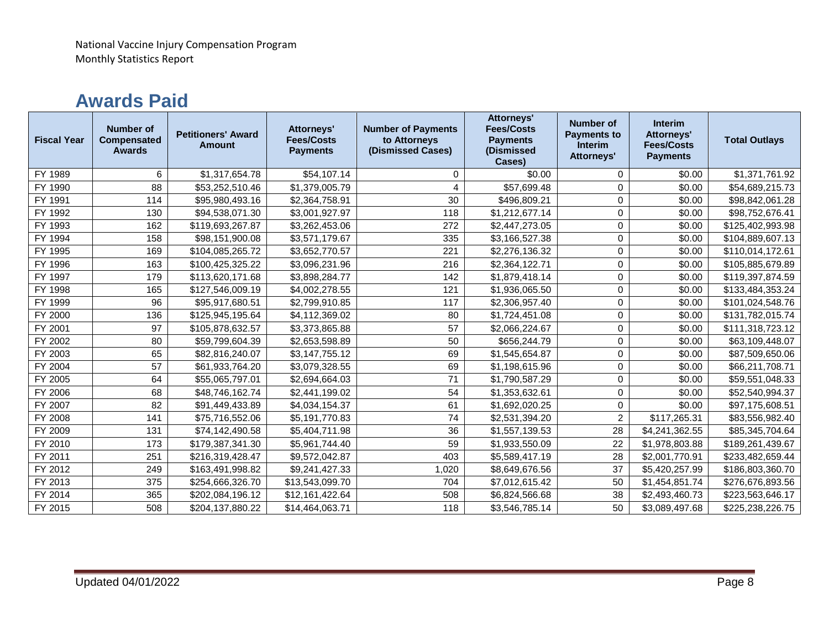## **Awards Paid**

| <b>Fiscal Year</b> | <b>Number of</b><br><b>Compensated</b><br><b>Awards</b> | <b>Petitioners' Award</b><br><b>Amount</b> | <b>Attorneys'</b><br><b>Fees/Costs</b><br><b>Payments</b> | <b>Number of Payments</b><br>to Attorneys<br>(Dismissed Cases) | <b>Attorneys'</b><br><b>Fees/Costs</b><br><b>Payments</b><br>(Dismissed<br>Cases) | <b>Number of</b><br><b>Payments to</b><br><b>Interim</b><br><b>Attorneys'</b> | <b>Interim</b><br><b>Attorneys'</b><br><b>Fees/Costs</b><br><b>Payments</b> | <b>Total Outlays</b> |
|--------------------|---------------------------------------------------------|--------------------------------------------|-----------------------------------------------------------|----------------------------------------------------------------|-----------------------------------------------------------------------------------|-------------------------------------------------------------------------------|-----------------------------------------------------------------------------|----------------------|
| FY 1989            | 6                                                       | \$1,317,654.78                             | \$54,107.14                                               | 0                                                              | \$0.00                                                                            | $\mathbf 0$                                                                   | \$0.00                                                                      | \$1,371,761.92       |
| FY 1990            | 88                                                      | \$53,252,510.46                            | \$1,379,005.79                                            | 4                                                              | \$57,699.48                                                                       | 0                                                                             | \$0.00                                                                      | \$54,689,215.73      |
| FY 1991            | 114                                                     | \$95,980,493.16                            | \$2,364,758.91                                            | 30                                                             | \$496,809.21                                                                      | 0                                                                             | \$0.00                                                                      | \$98,842,061.28      |
| FY 1992            | 130                                                     | \$94,538,071.30                            | \$3,001,927.97                                            | 118                                                            | \$1,212,677.14                                                                    | $\mathbf 0$                                                                   | \$0.00                                                                      | \$98,752,676.41      |
| FY 1993            | 162                                                     | \$119,693,267.87                           | \$3,262,453.06                                            | 272                                                            | \$2,447,273.05                                                                    | 0                                                                             | \$0.00                                                                      | \$125,402,993.98     |
| FY 1994            | 158                                                     | \$98,151,900.08                            | \$3,571,179.67                                            | 335                                                            | \$3,166,527.38                                                                    | 0                                                                             | \$0.00                                                                      | \$104,889,607.13     |
| FY 1995            | 169                                                     | \$104,085,265.72                           | \$3,652,770.57                                            | 221                                                            | \$2,276,136.32                                                                    | $\mathbf 0$                                                                   | \$0.00                                                                      | \$110,014,172.61     |
| FY 1996            | 163                                                     | \$100,425,325.22                           | \$3,096,231.96                                            | 216                                                            | \$2,364,122.71                                                                    | $\mathbf 0$                                                                   | \$0.00                                                                      | \$105,885,679.89     |
| FY 1997            | 179                                                     | \$113,620,171.68                           | \$3,898,284.77                                            | 142                                                            | \$1,879,418.14                                                                    | $\mathbf 0$                                                                   | \$0.00                                                                      | \$119,397,874.59     |
| FY 1998            | 165                                                     | \$127,546,009.19                           | \$4,002,278.55                                            | 121                                                            | \$1,936,065.50                                                                    | 0                                                                             | \$0.00                                                                      | \$133,484,353.24     |
| FY 1999            | 96                                                      | \$95,917,680.51                            | \$2,799,910.85                                            | 117                                                            | \$2,306,957.40                                                                    | 0                                                                             | \$0.00                                                                      | \$101,024,548.76     |
| FY 2000            | 136                                                     | \$125,945,195.64                           | \$4,112,369.02                                            | 80                                                             | \$1,724,451.08                                                                    | 0                                                                             | \$0.00                                                                      | \$131,782,015.74     |
| FY 2001            | 97                                                      | \$105,878,632.57                           | \$3,373,865.88                                            | 57                                                             | \$2,066,224.67                                                                    | $\mathbf 0$                                                                   | \$0.00                                                                      | \$111,318,723.12     |
| FY 2002            | 80                                                      | \$59,799,604.39                            | \$2,653,598.89                                            | 50                                                             | \$656,244.79                                                                      | $\mathbf 0$                                                                   | \$0.00                                                                      | \$63,109,448.07      |
| FY 2003            | 65                                                      | \$82,816,240.07                            | \$3,147,755.12                                            | 69                                                             | \$1,545,654.87                                                                    | 0                                                                             | \$0.00                                                                      | \$87,509,650.06      |
| FY 2004            | 57                                                      | \$61,933,764.20                            | \$3,079,328.55                                            | 69                                                             | \$1,198,615.96                                                                    | $\mathbf 0$                                                                   | \$0.00                                                                      | \$66,211,708.71      |
| FY 2005            | 64                                                      | \$55,065,797.01                            | \$2,694,664.03                                            | 71                                                             | \$1,790,587.29                                                                    | $\mathbf 0$                                                                   | \$0.00                                                                      | \$59,551,048.33      |
| FY 2006            | 68                                                      | \$48,746,162.74                            | \$2,441,199.02                                            | 54                                                             | \$1,353,632.61                                                                    | 0                                                                             | \$0.00                                                                      | \$52,540,994.37      |
| FY 2007            | 82                                                      | \$91,449,433.89                            | \$4,034,154.37                                            | 61                                                             | \$1,692,020.25                                                                    | $\mathbf 0$                                                                   | \$0.00                                                                      | \$97,175,608.51      |
| FY 2008            | 141                                                     | \$75,716,552.06                            | \$5,191,770.83                                            | 74                                                             | \$2,531,394.20                                                                    | $\overline{2}$                                                                | \$117,265.31                                                                | \$83,556,982.40      |
| FY 2009            | 131                                                     | \$74,142,490.58                            | \$5,404,711.98                                            | 36                                                             | \$1,557,139.53                                                                    | 28                                                                            | \$4,241,362.55                                                              | \$85,345,704.64      |
| FY 2010            | 173                                                     | \$179,387,341.30                           | \$5,961,744.40                                            | 59                                                             | \$1,933,550.09                                                                    | 22                                                                            | \$1,978,803.88                                                              | \$189,261,439.67     |
| FY 2011            | 251                                                     | \$216,319,428.47                           | \$9,572,042.87                                            | 403                                                            | \$5,589,417.19                                                                    | 28                                                                            | \$2,001,770.91                                                              | \$233,482,659.44     |
| FY 2012            | 249                                                     | \$163,491,998.82                           | \$9,241,427.33                                            | 1,020                                                          | \$8,649,676.56                                                                    | 37                                                                            | \$5,420,257.99                                                              | \$186,803,360.70     |
| FY 2013            | 375                                                     | \$254,666,326.70                           | \$13,543,099.70                                           | 704                                                            | \$7,012,615.42                                                                    | 50                                                                            | \$1,454,851.74                                                              | \$276,676,893.56     |
| FY 2014            | 365                                                     | \$202,084,196.12                           | \$12,161,422.64                                           | 508                                                            | \$6,824,566.68                                                                    | 38                                                                            | \$2,493,460.73                                                              | \$223,563,646.17     |
| FY 2015            | 508                                                     | \$204,137,880.22                           | \$14,464,063.71                                           | 118                                                            | \$3,546,785.14                                                                    | 50                                                                            | \$3,089,497.68                                                              | \$225,238,226.75     |